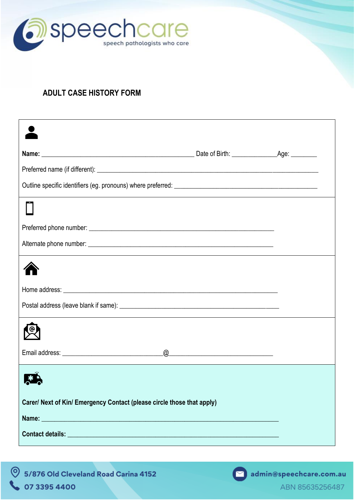

## **ADULT CASE HISTORY FORM**

|                                                                        | $\underline{\begin{picture}(10,10) \put(0,0){\dashbox{0.5}(10,0){ }} \put(15,0){\dashbox{0.5}(10,0){ }} \put(15,0){\dashbox{0.5}(10,0){ }} \put(15,0){\dashbox{0.5}(10,0){ }} \put(15,0){\dashbox{0.5}(10,0){ }} \put(15,0){\dashbox{0.5}(10,0){ }} \put(15,0){\dashbox{0.5}(10,0){ }} \put(15,0){\dashbox{0.5}(10,0){ }} \put(15,0){\dashbox{0.5}(10,0){ }} \put(15,0){\$ |  |
|------------------------------------------------------------------------|----------------------------------------------------------------------------------------------------------------------------------------------------------------------------------------------------------------------------------------------------------------------------------------------------------------------------------------------------------------------------|--|
|                                                                        |                                                                                                                                                                                                                                                                                                                                                                            |  |
| Carer/ Next of Kin/ Emergency Contact (please circle those that apply) |                                                                                                                                                                                                                                                                                                                                                                            |  |
| Name: Name:                                                            |                                                                                                                                                                                                                                                                                                                                                                            |  |
|                                                                        |                                                                                                                                                                                                                                                                                                                                                                            |  |

9 5/876 Old Cleveland Road Carina 4152 **& 07 3395 4400** 

admin@speechcare.com.au

ABN 85635256487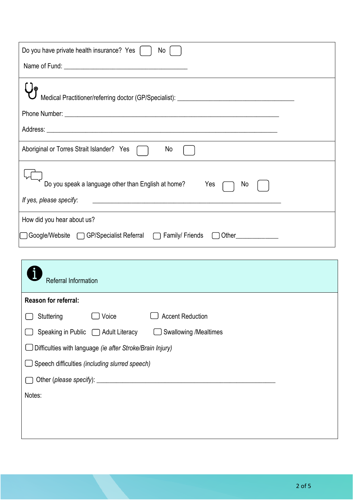| Do you have private health insurance? Yes<br>No                                                    |
|----------------------------------------------------------------------------------------------------|
|                                                                                                    |
|                                                                                                    |
| Medical Practitioner/referring doctor (GP/Specialist): __________________________                  |
|                                                                                                    |
|                                                                                                    |
| Aboriginal or Torres Strait Islander? Yes<br>No                                                    |
| Do you speak a language other than English at home?<br>Yes<br><b>No</b><br>If yes, please specify: |
|                                                                                                    |
| How did you hear about us?                                                                         |
| □ Google/Website □ GP/Specialist Referral □ Family/ Friends<br>Other <u>Chambridge</u>             |

| Referral Information                                                |  |
|---------------------------------------------------------------------|--|
| Reason for referral:                                                |  |
| <b>Accent Reduction</b><br>Voice<br>Stuttering                      |  |
| <b>Swallowing /Mealtimes</b><br>Speaking in Public □ Adult Literacy |  |
| Difficulties with language (ie after Stroke/Brain Injury)           |  |
| Speech difficulties (including slurred speech)<br>乚                 |  |
|                                                                     |  |
| Notes:                                                              |  |
|                                                                     |  |
|                                                                     |  |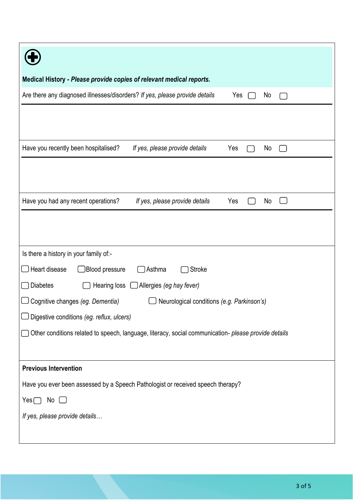| Medical History - Please provide copies of relevant medical reports.                                 |  |  |
|------------------------------------------------------------------------------------------------------|--|--|
| Are there any diagnosed illnesses/disorders? If yes, please provide details<br>Yes<br>No             |  |  |
|                                                                                                      |  |  |
|                                                                                                      |  |  |
| Have you recently been hospitalised?<br>If yes, please provide details<br>Yes<br>No                  |  |  |
|                                                                                                      |  |  |
|                                                                                                      |  |  |
|                                                                                                      |  |  |
| Have you had any recent operations?<br>If yes, please provide details<br>Yes<br>No                   |  |  |
|                                                                                                      |  |  |
|                                                                                                      |  |  |
| Is there a history in your family of:-                                                               |  |  |
|                                                                                                      |  |  |
| Heart disease<br>Blood pressure<br>Asthma<br><b>Stroke</b>                                           |  |  |
| <b>Diabetes</b><br>Hearing loss<br>$\Box$ Allergies (eg hay fever)                                   |  |  |
| Cognitive changes (eg. Dementia)<br>Neurological conditions (e.g. Parkinson's)                       |  |  |
| Digestive conditions (eg. reflux, ulcers)                                                            |  |  |
| Other conditions related to speech, language, literacy, social communication- please provide details |  |  |
|                                                                                                      |  |  |
| <b>Previous Intervention</b>                                                                         |  |  |
| Have you ever been assessed by a Speech Pathologist or received speech therapy?                      |  |  |
|                                                                                                      |  |  |
| No<br>Yes                                                                                            |  |  |
| If yes, please provide details                                                                       |  |  |
|                                                                                                      |  |  |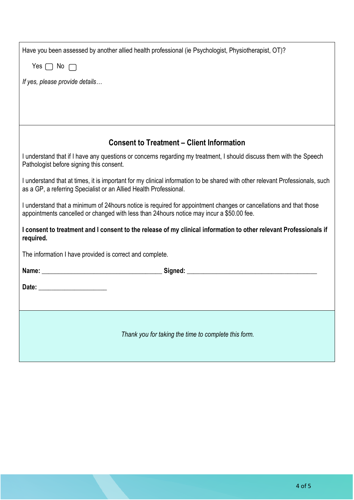| Have you been assessed by another allied health professional (ie Psychologist, Physiotherapist, OT)?                                                                                                            |  |  |
|-----------------------------------------------------------------------------------------------------------------------------------------------------------------------------------------------------------------|--|--|
| Yes $\Box$ No $\Box$                                                                                                                                                                                            |  |  |
| If yes, please provide details                                                                                                                                                                                  |  |  |
|                                                                                                                                                                                                                 |  |  |
|                                                                                                                                                                                                                 |  |  |
| <b>Consent to Treatment – Client Information</b>                                                                                                                                                                |  |  |
| I understand that if I have any questions or concerns regarding my treatment, I should discuss them with the Speech<br>Pathologist before signing this consent.                                                 |  |  |
| I understand that at times, it is important for my clinical information to be shared with other relevant Professionals, such<br>as a GP, a referring Specialist or an Allied Health Professional.               |  |  |
| I understand that a minimum of 24 hours notice is required for appointment changes or cancellations and that those<br>appointments cancelled or changed with less than 24 hours notice may incur a \$50.00 fee. |  |  |
| I consent to treatment and I consent to the release of my clinical information to other relevant Professionals if<br>required.                                                                                  |  |  |
| The information I have provided is correct and complete.                                                                                                                                                        |  |  |
|                                                                                                                                                                                                                 |  |  |
| Date: ________________________                                                                                                                                                                                  |  |  |
|                                                                                                                                                                                                                 |  |  |
| Thank you for taking the time to complete this form.                                                                                                                                                            |  |  |